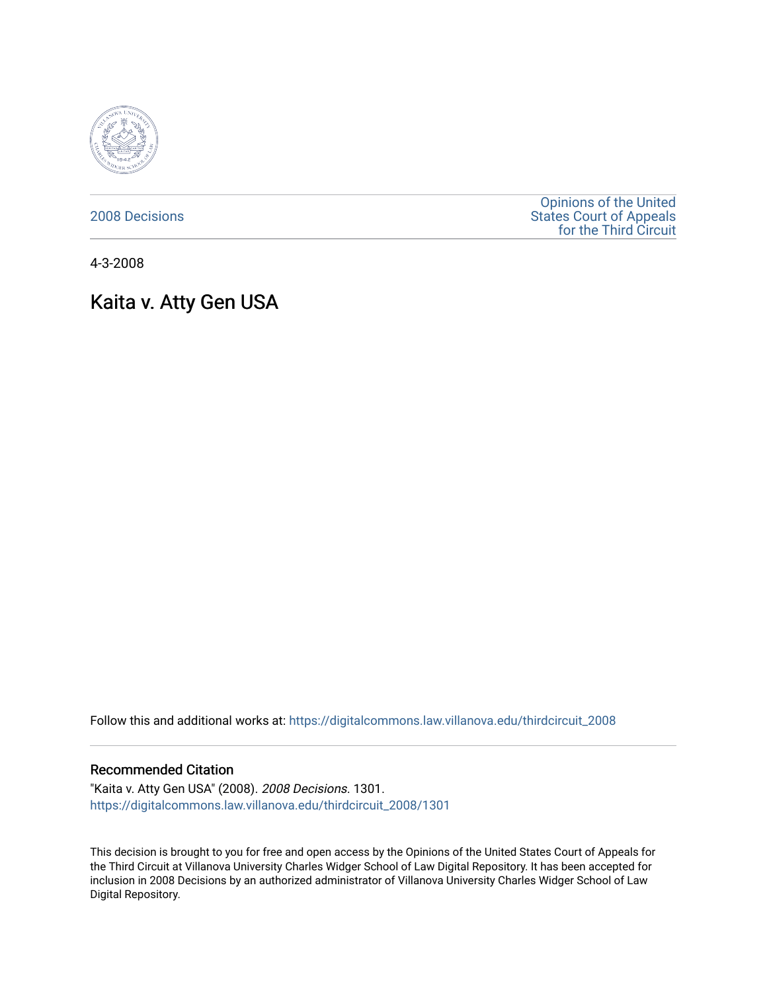

[2008 Decisions](https://digitalcommons.law.villanova.edu/thirdcircuit_2008)

[Opinions of the United](https://digitalcommons.law.villanova.edu/thirdcircuit)  [States Court of Appeals](https://digitalcommons.law.villanova.edu/thirdcircuit)  [for the Third Circuit](https://digitalcommons.law.villanova.edu/thirdcircuit) 

4-3-2008

# Kaita v. Atty Gen USA

Follow this and additional works at: [https://digitalcommons.law.villanova.edu/thirdcircuit\\_2008](https://digitalcommons.law.villanova.edu/thirdcircuit_2008?utm_source=digitalcommons.law.villanova.edu%2Fthirdcircuit_2008%2F1301&utm_medium=PDF&utm_campaign=PDFCoverPages) 

#### Recommended Citation

"Kaita v. Atty Gen USA" (2008). 2008 Decisions. 1301. [https://digitalcommons.law.villanova.edu/thirdcircuit\\_2008/1301](https://digitalcommons.law.villanova.edu/thirdcircuit_2008/1301?utm_source=digitalcommons.law.villanova.edu%2Fthirdcircuit_2008%2F1301&utm_medium=PDF&utm_campaign=PDFCoverPages) 

This decision is brought to you for free and open access by the Opinions of the United States Court of Appeals for the Third Circuit at Villanova University Charles Widger School of Law Digital Repository. It has been accepted for inclusion in 2008 Decisions by an authorized administrator of Villanova University Charles Widger School of Law Digital Repository.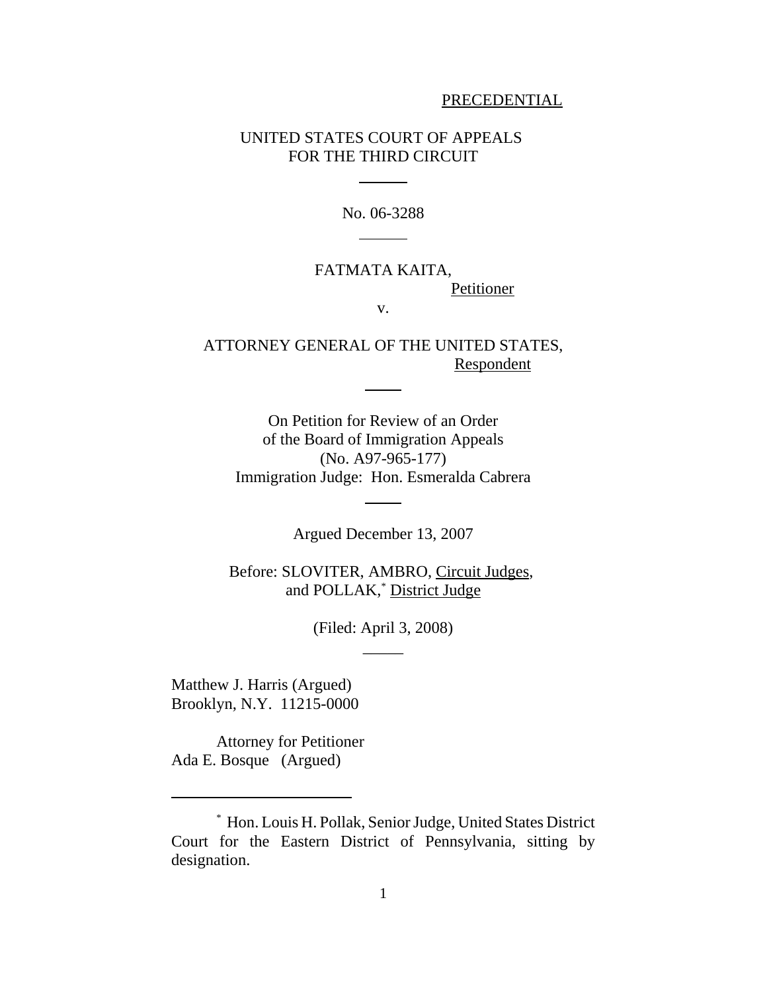#### PRECEDENTIAL

# UNITED STATES COURT OF APPEALS FOR THE THIRD CIRCUIT

l

 $\overline{a}$ 

No. 06-3288

# FATMATA KAITA, **Petitioner**

v.

ATTORNEY GENERAL OF THE UNITED STATES, Respondent

l

l

On Petition for Review of an Order of the Board of Immigration Appeals (No. A97-965-177) Immigration Judge: Hon. Esmeralda Cabrera

Argued December 13, 2007

Before: SLOVITER, AMBRO, Circuit Judges, and POLLAK,<sup>\*</sup> District Judge

> (Filed: April 3, 2008)  $\overline{\phantom{a}}$

Matthew J. Harris (Argued) Brooklyn, N.Y. 11215-0000

Attorney for Petitioner Ada E. Bosque (Argued)

<sup>\*</sup> Hon. Louis H. Pollak, Senior Judge, United States District Court for the Eastern District of Pennsylvania, sitting by designation.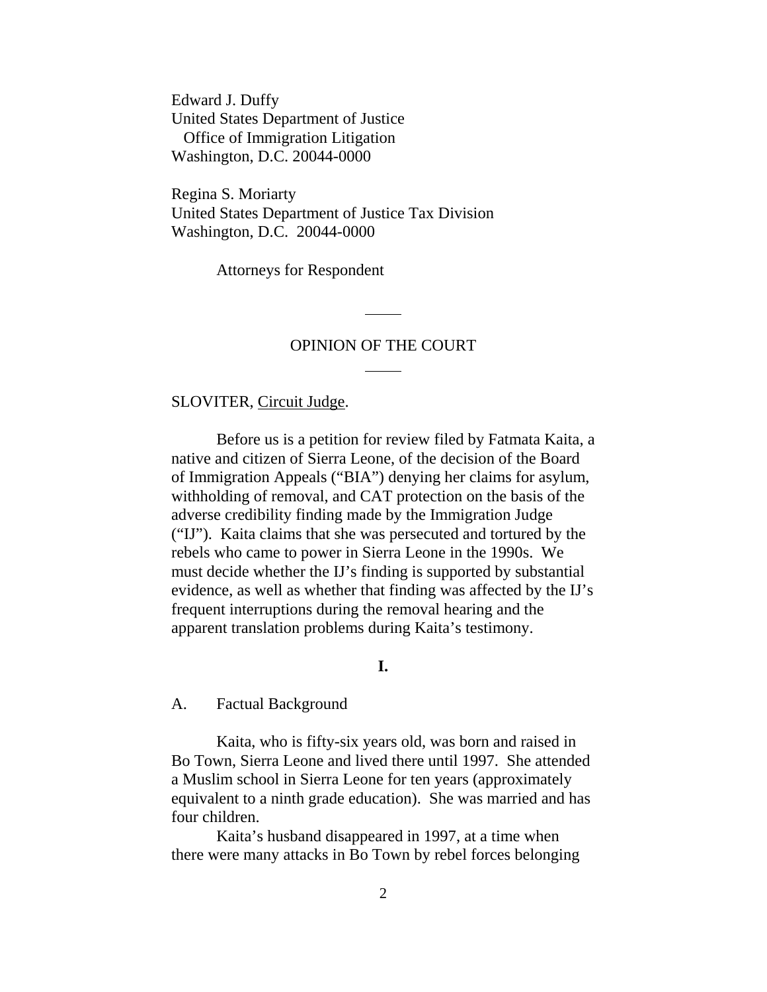Edward J. Duffy United States Department of Justice Office of Immigration Litigation Washington, D.C. 20044-0000

Regina S. Moriarty United States Department of Justice Tax Division Washington, D.C. 20044-0000

Attorneys for Respondent

## OPINION OF THE COURT

l

 $\overline{a}$ 

### SLOVITER, Circuit Judge.

Before us is a petition for review filed by Fatmata Kaita, a native and citizen of Sierra Leone, of the decision of the Board of Immigration Appeals ("BIA") denying her claims for asylum, withholding of removal, and CAT protection on the basis of the adverse credibility finding made by the Immigration Judge ("IJ"). Kaita claims that she was persecuted and tortured by the rebels who came to power in Sierra Leone in the 1990s. We must decide whether the IJ's finding is supported by substantial evidence, as well as whether that finding was affected by the IJ's frequent interruptions during the removal hearing and the apparent translation problems during Kaita's testimony.

#### **I.**

#### A. Factual Background

Kaita, who is fifty-six years old, was born and raised in Bo Town, Sierra Leone and lived there until 1997. She attended a Muslim school in Sierra Leone for ten years (approximately equivalent to a ninth grade education). She was married and has four children.

Kaita's husband disappeared in 1997, at a time when there were many attacks in Bo Town by rebel forces belonging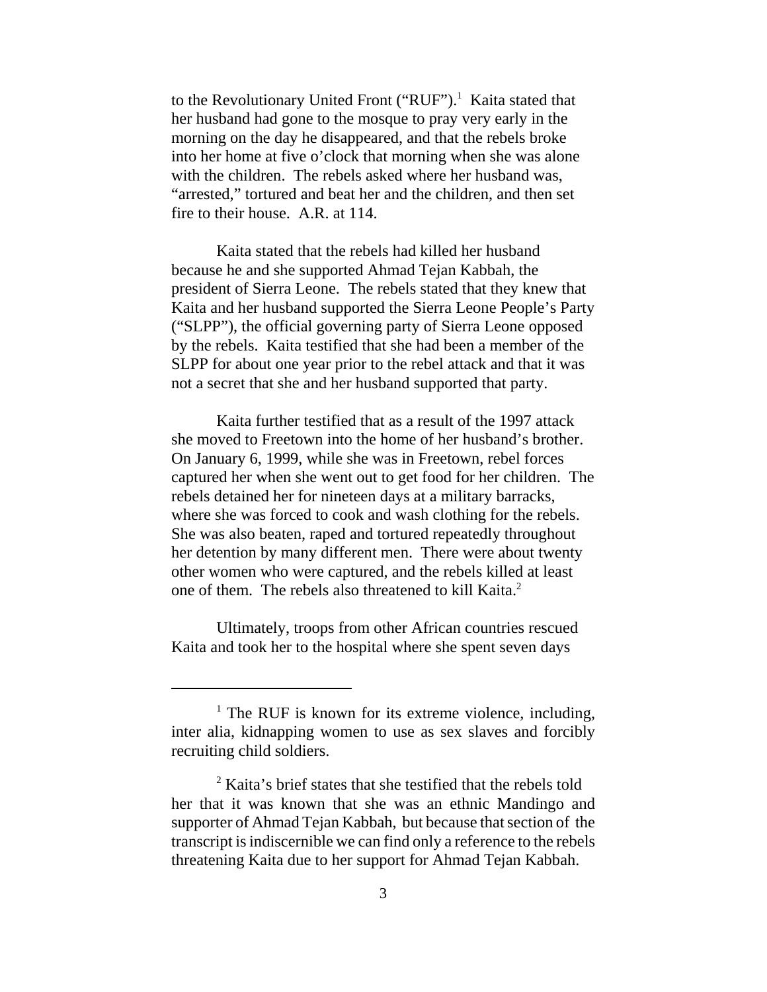to the Revolutionary United Front ("RUF").<sup>1</sup> Kaita stated that her husband had gone to the mosque to pray very early in the morning on the day he disappeared, and that the rebels broke into her home at five o'clock that morning when she was alone with the children. The rebels asked where her husband was, "arrested," tortured and beat her and the children, and then set fire to their house. A.R. at 114.

Kaita stated that the rebels had killed her husband because he and she supported Ahmad Tejan Kabbah, the president of Sierra Leone. The rebels stated that they knew that Kaita and her husband supported the Sierra Leone People's Party ("SLPP"), the official governing party of Sierra Leone opposed by the rebels. Kaita testified that she had been a member of the SLPP for about one year prior to the rebel attack and that it was not a secret that she and her husband supported that party.

Kaita further testified that as a result of the 1997 attack she moved to Freetown into the home of her husband's brother. On January 6, 1999, while she was in Freetown, rebel forces captured her when she went out to get food for her children. The rebels detained her for nineteen days at a military barracks, where she was forced to cook and wash clothing for the rebels. She was also beaten, raped and tortured repeatedly throughout her detention by many different men. There were about twenty other women who were captured, and the rebels killed at least one of them. The rebels also threatened to kill Kaita.<sup>2</sup>

Ultimately, troops from other African countries rescued Kaita and took her to the hospital where she spent seven days

<sup>&</sup>lt;sup>1</sup> The RUF is known for its extreme violence, including, inter alia, kidnapping women to use as sex slaves and forcibly recruiting child soldiers.

<sup>&</sup>lt;sup>2</sup> Kaita's brief states that she testified that the rebels told her that it was known that she was an ethnic Mandingo and supporter of Ahmad Tejan Kabbah, but because that section of the transcript is indiscernible we can find only a reference to the rebels threatening Kaita due to her support for Ahmad Tejan Kabbah.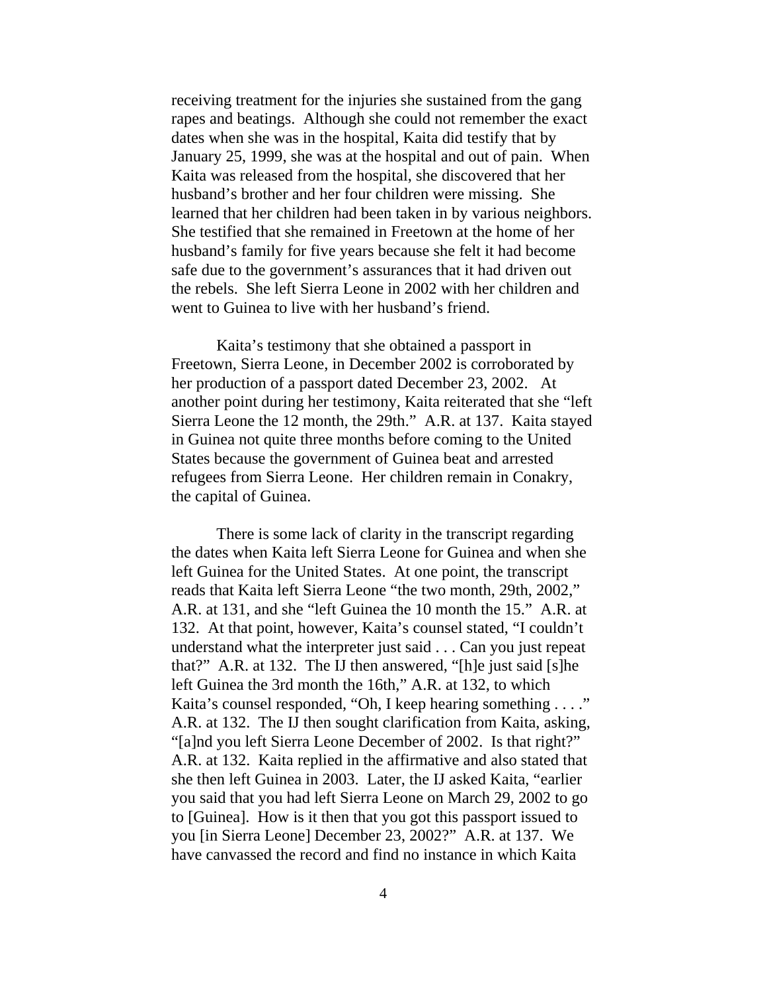receiving treatment for the injuries she sustained from the gang rapes and beatings. Although she could not remember the exact dates when she was in the hospital, Kaita did testify that by January 25, 1999, she was at the hospital and out of pain. When Kaita was released from the hospital, she discovered that her husband's brother and her four children were missing. She learned that her children had been taken in by various neighbors. She testified that she remained in Freetown at the home of her husband's family for five years because she felt it had become safe due to the government's assurances that it had driven out the rebels. She left Sierra Leone in 2002 with her children and went to Guinea to live with her husband's friend.

Kaita's testimony that she obtained a passport in Freetown, Sierra Leone, in December 2002 is corroborated by her production of a passport dated December 23, 2002. At another point during her testimony, Kaita reiterated that she "left Sierra Leone the 12 month, the 29th." A.R. at 137. Kaita stayed in Guinea not quite three months before coming to the United States because the government of Guinea beat and arrested refugees from Sierra Leone. Her children remain in Conakry, the capital of Guinea.

There is some lack of clarity in the transcript regarding the dates when Kaita left Sierra Leone for Guinea and when she left Guinea for the United States. At one point, the transcript reads that Kaita left Sierra Leone "the two month, 29th, 2002," A.R. at 131, and she "left Guinea the 10 month the 15." A.R. at 132. At that point, however, Kaita's counsel stated, "I couldn't understand what the interpreter just said . . . Can you just repeat that?" A.R. at 132. The IJ then answered, "[h]e just said [s]he left Guinea the 3rd month the 16th," A.R. at 132, to which Kaita's counsel responded, "Oh, I keep hearing something . . . ." A.R. at 132. The IJ then sought clarification from Kaita, asking, "[a]nd you left Sierra Leone December of 2002. Is that right?" A.R. at 132. Kaita replied in the affirmative and also stated that she then left Guinea in 2003. Later, the IJ asked Kaita, "earlier you said that you had left Sierra Leone on March 29, 2002 to go to [Guinea]. How is it then that you got this passport issued to you [in Sierra Leone] December 23, 2002?" A.R. at 137. We have canvassed the record and find no instance in which Kaita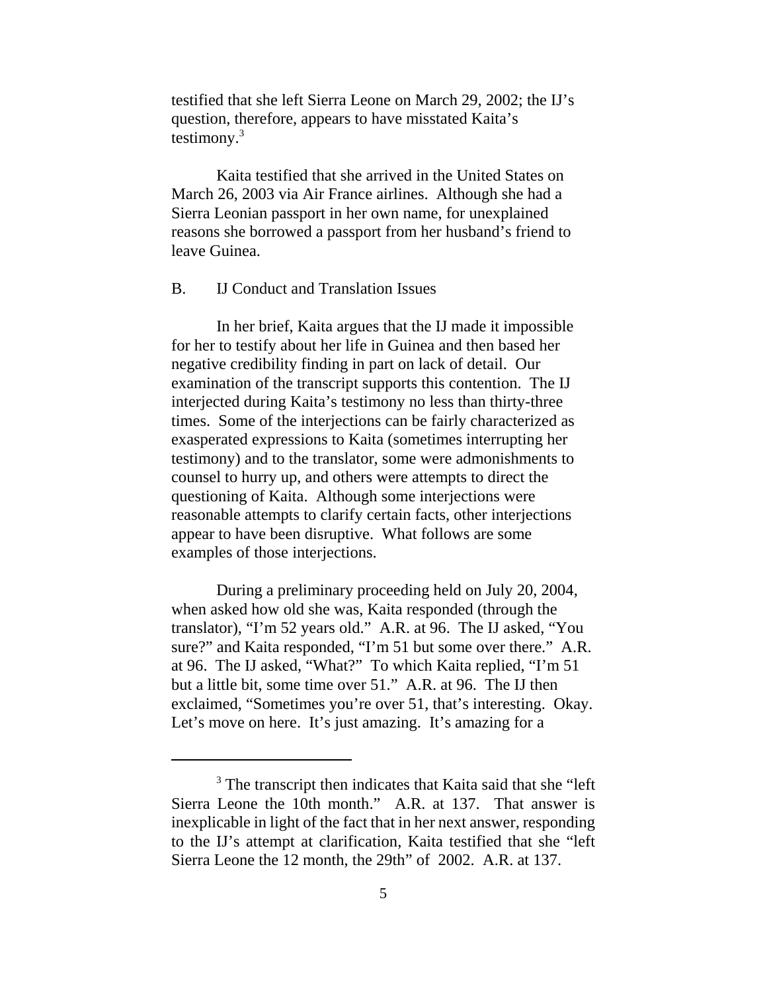testified that she left Sierra Leone on March 29, 2002; the IJ's question, therefore, appears to have misstated Kaita's testimony. $3$ 

Kaita testified that she arrived in the United States on March 26, 2003 via Air France airlines. Although she had a Sierra Leonian passport in her own name, for unexplained reasons she borrowed a passport from her husband's friend to leave Guinea.

## B. IJ Conduct and Translation Issues

In her brief, Kaita argues that the IJ made it impossible for her to testify about her life in Guinea and then based her negative credibility finding in part on lack of detail. Our examination of the transcript supports this contention. The IJ interjected during Kaita's testimony no less than thirty-three times. Some of the interjections can be fairly characterized as exasperated expressions to Kaita (sometimes interrupting her testimony) and to the translator, some were admonishments to counsel to hurry up, and others were attempts to direct the questioning of Kaita. Although some interjections were reasonable attempts to clarify certain facts, other interjections appear to have been disruptive. What follows are some examples of those interjections.

During a preliminary proceeding held on July 20, 2004, when asked how old she was, Kaita responded (through the translator), "I'm 52 years old." A.R. at 96. The IJ asked, "You sure?" and Kaita responded, "I'm 51 but some over there." A.R. at 96. The IJ asked, "What?" To which Kaita replied, "I'm 51 but a little bit, some time over 51." A.R. at 96. The IJ then exclaimed, "Sometimes you're over 51, that's interesting. Okay. Let's move on here. It's just amazing. It's amazing for a

<sup>&</sup>lt;sup>3</sup> The transcript then indicates that Kaita said that she "left Sierra Leone the 10th month." A.R. at 137. That answer is inexplicable in light of the fact that in her next answer, responding to the IJ's attempt at clarification, Kaita testified that she "left Sierra Leone the 12 month, the 29th" of 2002. A.R. at 137.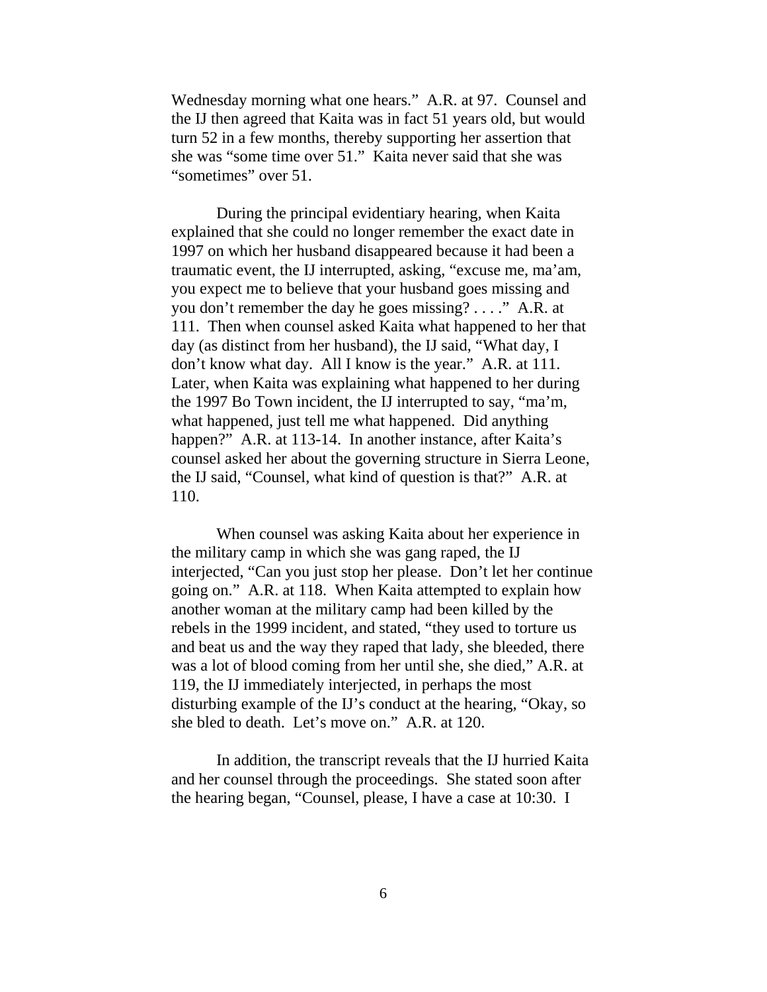Wednesday morning what one hears." A.R. at 97. Counsel and the IJ then agreed that Kaita was in fact 51 years old, but would turn 52 in a few months, thereby supporting her assertion that she was "some time over 51." Kaita never said that she was "sometimes" over 51.

During the principal evidentiary hearing, when Kaita explained that she could no longer remember the exact date in 1997 on which her husband disappeared because it had been a traumatic event, the IJ interrupted, asking, "excuse me, ma'am, you expect me to believe that your husband goes missing and you don't remember the day he goes missing? . . . ." A.R. at 111. Then when counsel asked Kaita what happened to her that day (as distinct from her husband), the IJ said, "What day, I don't know what day. All I know is the year." A.R. at 111. Later, when Kaita was explaining what happened to her during the 1997 Bo Town incident, the IJ interrupted to say, "ma'm, what happened, just tell me what happened. Did anything happen?" A.R. at 113-14. In another instance, after Kaita's counsel asked her about the governing structure in Sierra Leone, the IJ said, "Counsel, what kind of question is that?" A.R. at 110.

When counsel was asking Kaita about her experience in the military camp in which she was gang raped, the IJ interjected, "Can you just stop her please. Don't let her continue going on." A.R. at 118. When Kaita attempted to explain how another woman at the military camp had been killed by the rebels in the 1999 incident, and stated, "they used to torture us and beat us and the way they raped that lady, she bleeded, there was a lot of blood coming from her until she, she died," A.R. at 119, the IJ immediately interjected, in perhaps the most disturbing example of the IJ's conduct at the hearing, "Okay, so she bled to death. Let's move on." A.R. at 120.

In addition, the transcript reveals that the IJ hurried Kaita and her counsel through the proceedings. She stated soon after the hearing began, "Counsel, please, I have a case at 10:30. I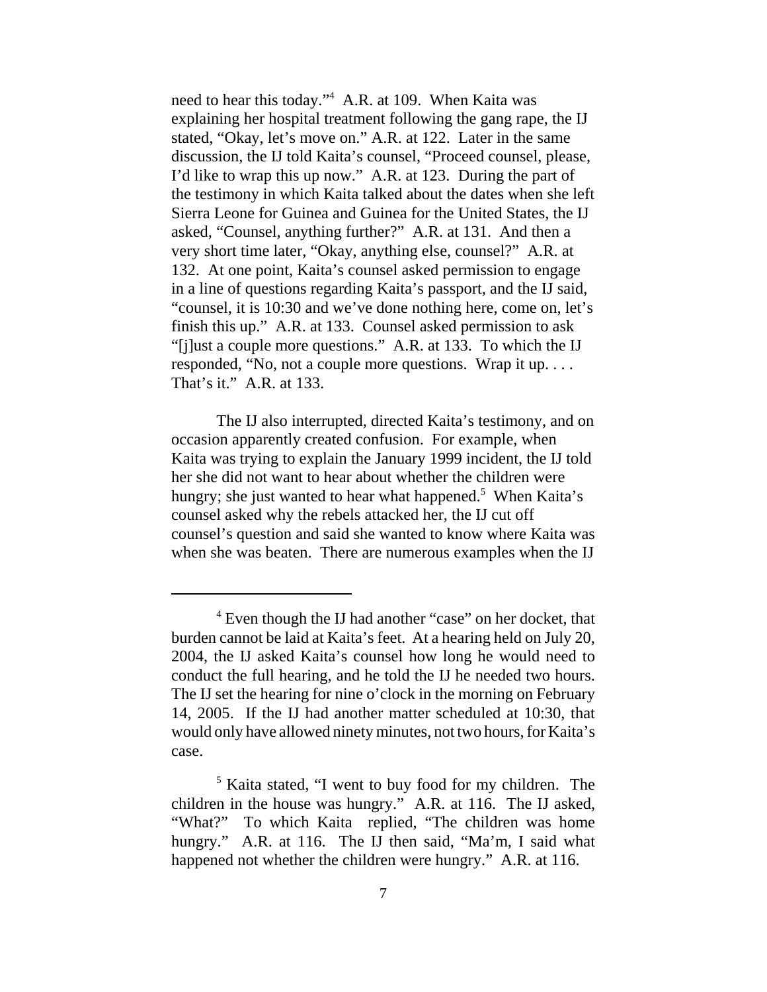need to hear this today."4 A.R. at 109. When Kaita was explaining her hospital treatment following the gang rape, the IJ stated, "Okay, let's move on." A.R. at 122. Later in the same discussion, the IJ told Kaita's counsel, "Proceed counsel, please, I'd like to wrap this up now." A.R. at 123. During the part of the testimony in which Kaita talked about the dates when she left Sierra Leone for Guinea and Guinea for the United States, the IJ asked, "Counsel, anything further?" A.R. at 131. And then a very short time later, "Okay, anything else, counsel?" A.R. at 132. At one point, Kaita's counsel asked permission to engage in a line of questions regarding Kaita's passport, and the IJ said, "counsel, it is 10:30 and we've done nothing here, come on, let's finish this up." A.R. at 133. Counsel asked permission to ask "[j]ust a couple more questions." A.R. at 133. To which the IJ responded, "No, not a couple more questions. Wrap it up. . . . That's it." A.R. at 133.

The IJ also interrupted, directed Kaita's testimony, and on occasion apparently created confusion. For example, when Kaita was trying to explain the January 1999 incident, the IJ told her she did not want to hear about whether the children were hungry; she just wanted to hear what happened.<sup>5</sup> When Kaita's counsel asked why the rebels attacked her, the IJ cut off counsel's question and said she wanted to know where Kaita was when she was beaten. There are numerous examples when the IJ

<sup>&</sup>lt;sup>4</sup> Even though the IJ had another "case" on her docket, that burden cannot be laid at Kaita's feet. At a hearing held on July 20, 2004, the IJ asked Kaita's counsel how long he would need to conduct the full hearing, and he told the IJ he needed two hours. The IJ set the hearing for nine o'clock in the morning on February 14, 2005. If the IJ had another matter scheduled at 10:30, that would only have allowed ninety minutes, not two hours, for Kaita's case.

<sup>&</sup>lt;sup>5</sup> Kaita stated, "I went to buy food for my children. The children in the house was hungry." A.R. at 116. The IJ asked, "What?" To which Kaita replied, "The children was home hungry." A.R. at 116. The IJ then said, "Ma'm, I said what happened not whether the children were hungry." A.R. at 116.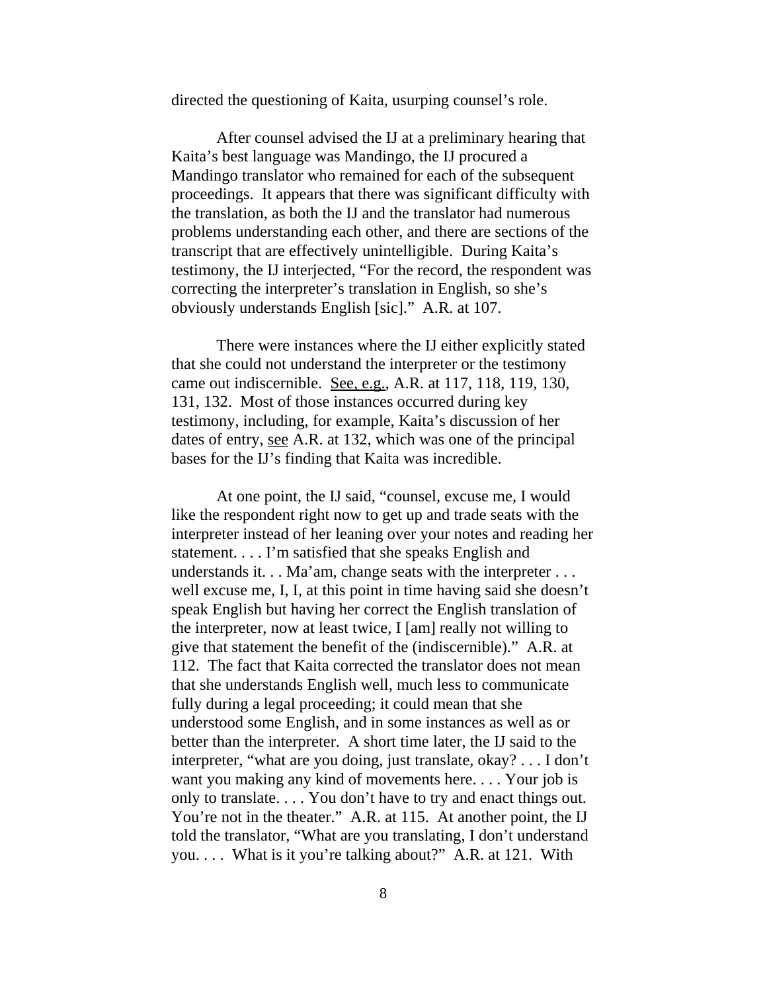directed the questioning of Kaita, usurping counsel's role.

After counsel advised the IJ at a preliminary hearing that Kaita's best language was Mandingo, the IJ procured a Mandingo translator who remained for each of the subsequent proceedings. It appears that there was significant difficulty with the translation, as both the IJ and the translator had numerous problems understanding each other, and there are sections of the transcript that are effectively unintelligible. During Kaita's testimony, the IJ interjected, "For the record, the respondent was correcting the interpreter's translation in English, so she's obviously understands English [sic]." A.R. at 107.

There were instances where the IJ either explicitly stated that she could not understand the interpreter or the testimony came out indiscernible. See, e.g., A.R. at 117, 118, 119, 130, 131, 132. Most of those instances occurred during key testimony, including, for example, Kaita's discussion of her dates of entry, <u>see</u> A.R. at 132, which was one of the principal bases for the IJ's finding that Kaita was incredible.

At one point, the IJ said, "counsel, excuse me, I would like the respondent right now to get up and trade seats with the interpreter instead of her leaning over your notes and reading her statement. . . . I'm satisfied that she speaks English and understands it. . . Ma'am, change seats with the interpreter . . . well excuse me, I, I, at this point in time having said she doesn't speak English but having her correct the English translation of the interpreter, now at least twice, I [am] really not willing to give that statement the benefit of the (indiscernible)." A.R. at 112. The fact that Kaita corrected the translator does not mean that she understands English well, much less to communicate fully during a legal proceeding; it could mean that she understood some English, and in some instances as well as or better than the interpreter. A short time later, the IJ said to the interpreter, "what are you doing, just translate, okay? . . . I don't want you making any kind of movements here. . . . Your job is only to translate. . . . You don't have to try and enact things out. You're not in the theater." A.R. at 115. At another point, the IJ told the translator, "What are you translating, I don't understand you. . . . What is it you're talking about?" A.R. at 121. With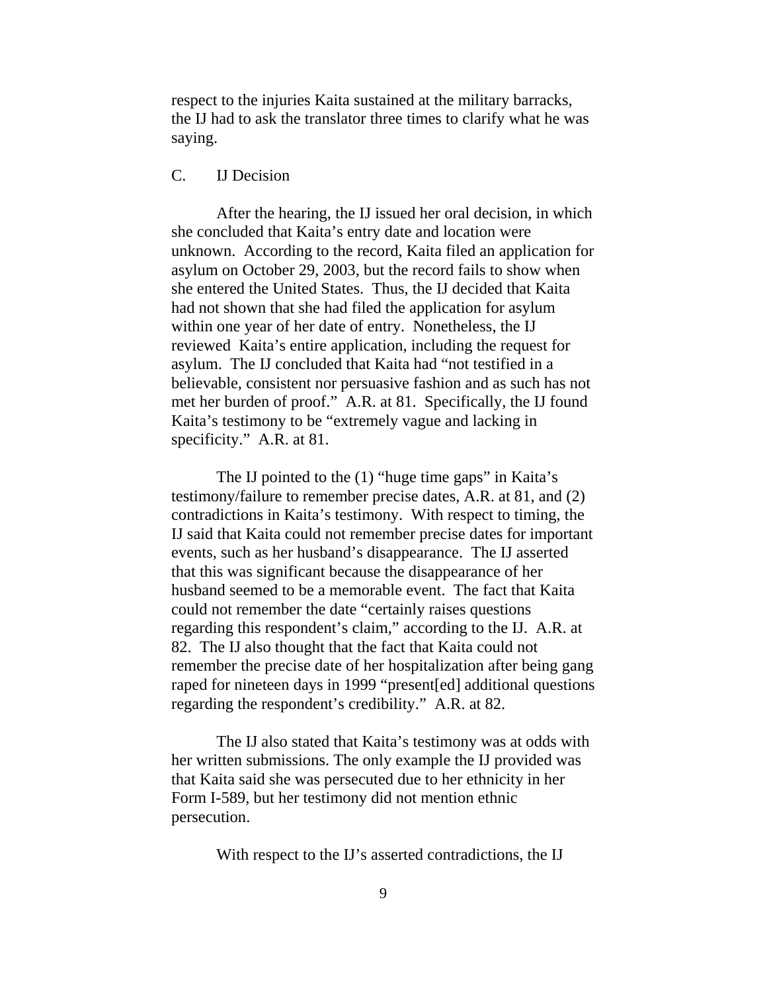respect to the injuries Kaita sustained at the military barracks, the IJ had to ask the translator three times to clarify what he was saying.

## C. IJ Decision

After the hearing, the IJ issued her oral decision, in which she concluded that Kaita's entry date and location were unknown. According to the record, Kaita filed an application for asylum on October 29, 2003, but the record fails to show when she entered the United States. Thus, the IJ decided that Kaita had not shown that she had filed the application for asylum within one year of her date of entry. Nonetheless, the IJ reviewed Kaita's entire application, including the request for asylum. The IJ concluded that Kaita had "not testified in a believable, consistent nor persuasive fashion and as such has not met her burden of proof." A.R. at 81. Specifically, the IJ found Kaita's testimony to be "extremely vague and lacking in specificity." A.R. at 81.

The IJ pointed to the (1) "huge time gaps" in Kaita's testimony/failure to remember precise dates, A.R. at 81, and (2) contradictions in Kaita's testimony. With respect to timing, the IJ said that Kaita could not remember precise dates for important events, such as her husband's disappearance. The IJ asserted that this was significant because the disappearance of her husband seemed to be a memorable event. The fact that Kaita could not remember the date "certainly raises questions regarding this respondent's claim," according to the IJ. A.R. at 82. The IJ also thought that the fact that Kaita could not remember the precise date of her hospitalization after being gang raped for nineteen days in 1999 "present[ed] additional questions regarding the respondent's credibility." A.R. at 82.

The IJ also stated that Kaita's testimony was at odds with her written submissions. The only example the IJ provided was that Kaita said she was persecuted due to her ethnicity in her Form I-589, but her testimony did not mention ethnic persecution.

With respect to the IJ's asserted contradictions, the IJ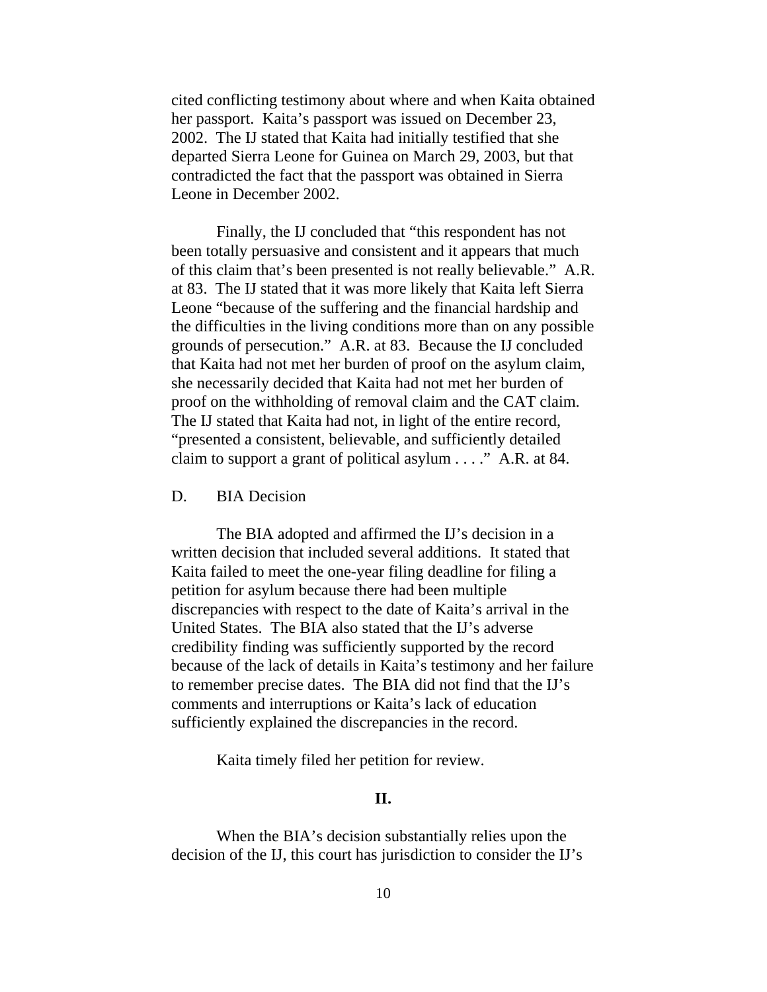cited conflicting testimony about where and when Kaita obtained her passport. Kaita's passport was issued on December 23, 2002. The IJ stated that Kaita had initially testified that she departed Sierra Leone for Guinea on March 29, 2003, but that contradicted the fact that the passport was obtained in Sierra Leone in December 2002.

Finally, the IJ concluded that "this respondent has not been totally persuasive and consistent and it appears that much of this claim that's been presented is not really believable." A.R. at 83. The IJ stated that it was more likely that Kaita left Sierra Leone "because of the suffering and the financial hardship and the difficulties in the living conditions more than on any possible grounds of persecution." A.R. at 83. Because the IJ concluded that Kaita had not met her burden of proof on the asylum claim, she necessarily decided that Kaita had not met her burden of proof on the withholding of removal claim and the CAT claim. The IJ stated that Kaita had not, in light of the entire record, "presented a consistent, believable, and sufficiently detailed claim to support a grant of political asylum . . . ." A.R. at 84.

## D. BIA Decision

The BIA adopted and affirmed the IJ's decision in a written decision that included several additions. It stated that Kaita failed to meet the one-year filing deadline for filing a petition for asylum because there had been multiple discrepancies with respect to the date of Kaita's arrival in the United States. The BIA also stated that the IJ's adverse credibility finding was sufficiently supported by the record because of the lack of details in Kaita's testimony and her failure to remember precise dates. The BIA did not find that the IJ's comments and interruptions or Kaita's lack of education sufficiently explained the discrepancies in the record.

Kaita timely filed her petition for review.

## **II.**

When the BIA's decision substantially relies upon the decision of the IJ, this court has jurisdiction to consider the IJ's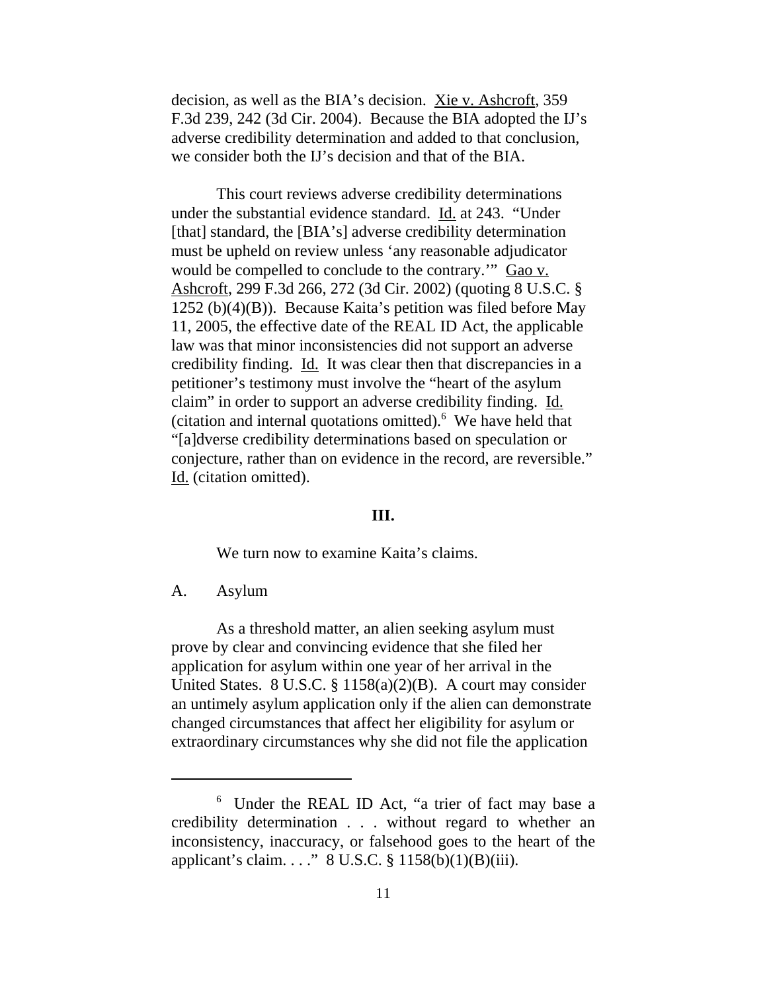decision, as well as the BIA's decision. <u>Xie v. Ashcroft</u>, 359 F.3d 239, 242 (3d Cir. 2004). Because the BIA adopted the IJ's adverse credibility determination and added to that conclusion, we consider both the IJ's decision and that of the BIA.

This court reviews adverse credibility determinations under the substantial evidence standard. Id. at 243. "Under [that] standard, the [BIA's] adverse credibility determination must be upheld on review unless 'any reasonable adjudicator would be compelled to conclude to the contrary." Gao v. Ashcroft, 299 F.3d 266, 272 (3d Cir. 2002) (quoting 8 U.S.C. § 1252 (b)(4)(B)). Because Kaita's petition was filed before May 11, 2005, the effective date of the REAL ID Act, the applicable law was that minor inconsistencies did not support an adverse credibility finding. Id. It was clear then that discrepancies in a petitioner's testimony must involve the "heart of the asylum claim" in order to support an adverse credibility finding. Id. (citation and internal quotations omitted). $6$  We have held that "[a]dverse credibility determinations based on speculation or conjecture, rather than on evidence in the record, are reversible." Id. (citation omitted).

#### **III.**

We turn now to examine Kaita's claims.

A. Asylum

As a threshold matter, an alien seeking asylum must prove by clear and convincing evidence that she filed her application for asylum within one year of her arrival in the United States. 8 U.S.C. § 1158(a)(2)(B). A court may consider an untimely asylum application only if the alien can demonstrate changed circumstances that affect her eligibility for asylum or extraordinary circumstances why she did not file the application

<sup>6</sup> Under the REAL ID Act, "a trier of fact may base a credibility determination . . . without regard to whether an inconsistency, inaccuracy, or falsehood goes to the heart of the applicant's claim. . . ." 8 U.S.C. § 1158(b)(1)(B)(iii).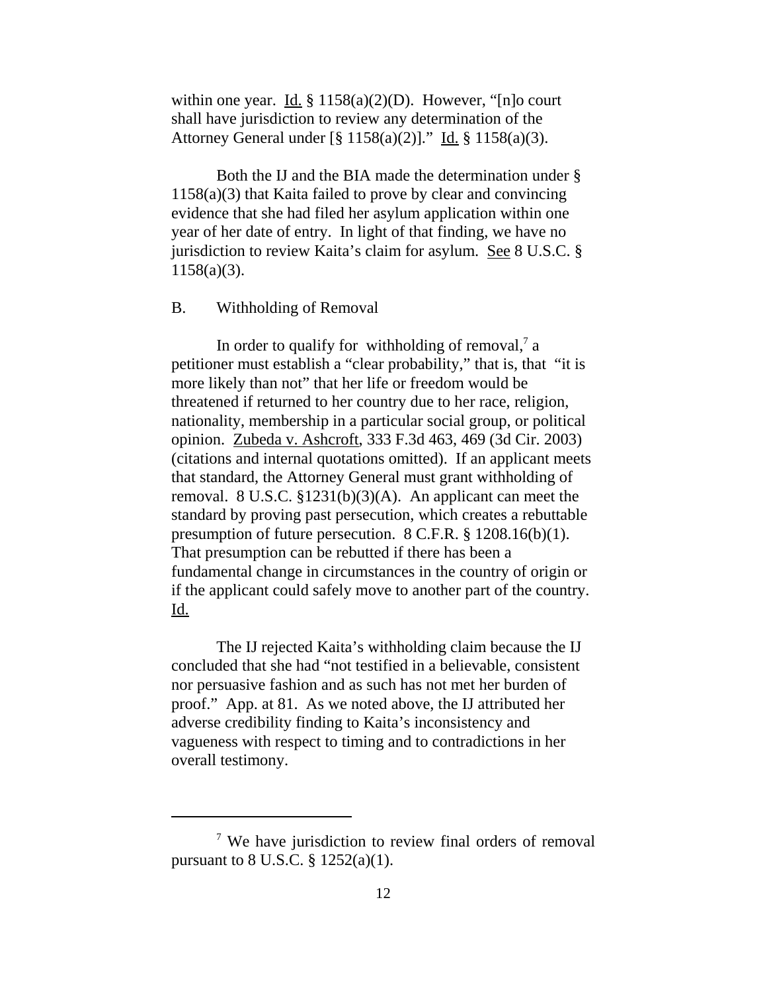within one year. <u>Id.</u> § 1158(a)(2)(D). However, "[n]o court shall have jurisdiction to review any determination of the Attorney General under [§ 1158(a)(2)]." Id. § 1158(a)(3).

Both the IJ and the BIA made the determination under § 1158(a)(3) that Kaita failed to prove by clear and convincing evidence that she had filed her asylum application within one year of her date of entry. In light of that finding, we have no jurisdiction to review Kaita's claim for asylum. See 8 U.S.C. § 1158(a)(3).

#### B. Withholding of Removal

In order to qualify for withholding of removal, $7$  a petitioner must establish a "clear probability," that is, that "it is more likely than not" that her life or freedom would be threatened if returned to her country due to her race, religion, nationality, membership in a particular social group, or political opinion. Zubeda v. Ashcroft, 333 F.3d 463, 469 (3d Cir. 2003) (citations and internal quotations omitted). If an applicant meets that standard, the Attorney General must grant withholding of removal. 8 U.S.C. §1231(b)(3)(A). An applicant can meet the standard by proving past persecution, which creates a rebuttable presumption of future persecution. 8 C.F.R. § 1208.16(b)(1). That presumption can be rebutted if there has been a fundamental change in circumstances in the country of origin or if the applicant could safely move to another part of the country. Id.

The IJ rejected Kaita's withholding claim because the IJ concluded that she had "not testified in a believable, consistent nor persuasive fashion and as such has not met her burden of proof." App. at 81. As we noted above, the IJ attributed her adverse credibility finding to Kaita's inconsistency and vagueness with respect to timing and to contradictions in her overall testimony.

<sup>&</sup>lt;sup>7</sup> We have jurisdiction to review final orders of removal pursuant to 8 U.S.C. § 1252(a)(1).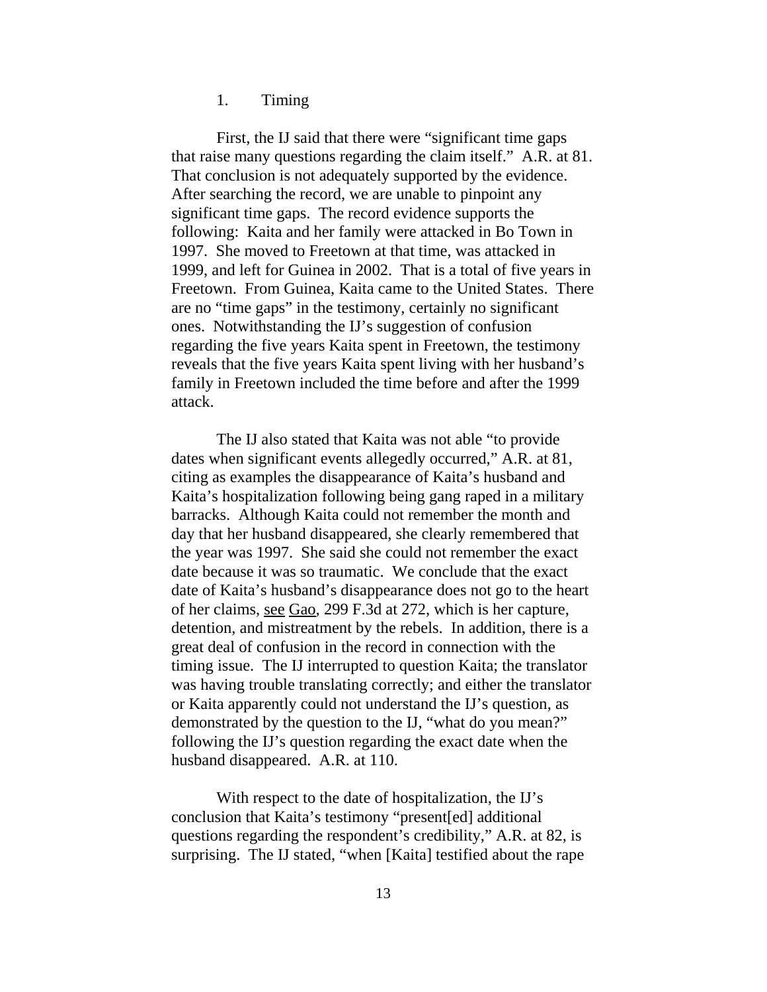1. Timing

First, the IJ said that there were "significant time gaps that raise many questions regarding the claim itself." A.R. at 81. That conclusion is not adequately supported by the evidence. After searching the record, we are unable to pinpoint any significant time gaps. The record evidence supports the following: Kaita and her family were attacked in Bo Town in 1997. She moved to Freetown at that time, was attacked in 1999, and left for Guinea in 2002. That is a total of five years in Freetown. From Guinea, Kaita came to the United States. There are no "time gaps" in the testimony, certainly no significant ones. Notwithstanding the IJ's suggestion of confusion regarding the five years Kaita spent in Freetown, the testimony reveals that the five years Kaita spent living with her husband's family in Freetown included the time before and after the 1999 attack.

The IJ also stated that Kaita was not able "to provide dates when significant events allegedly occurred," A.R. at 81, citing as examples the disappearance of Kaita's husband and Kaita's hospitalization following being gang raped in a military barracks. Although Kaita could not remember the month and day that her husband disappeared, she clearly remembered that the year was 1997. She said she could not remember the exact date because it was so traumatic. We conclude that the exact date of Kaita's husband's disappearance does not go to the heart of her claims, see Gao, 299 F.3d at 272, which is her capture, detention, and mistreatment by the rebels. In addition, there is a great deal of confusion in the record in connection with the timing issue. The IJ interrupted to question Kaita; the translator was having trouble translating correctly; and either the translator or Kaita apparently could not understand the IJ's question, as demonstrated by the question to the IJ, "what do you mean?" following the IJ's question regarding the exact date when the husband disappeared. A.R. at 110.

With respect to the date of hospitalization, the IJ's conclusion that Kaita's testimony "present[ed] additional questions regarding the respondent's credibility," A.R. at 82, is surprising. The IJ stated, "when [Kaita] testified about the rape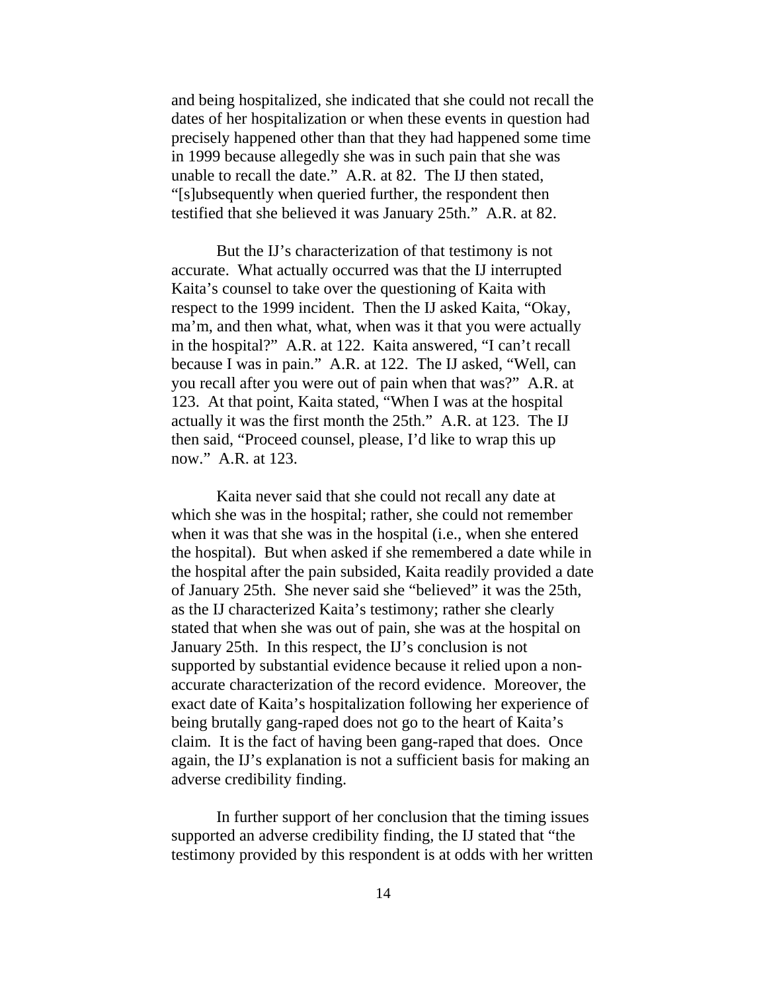and being hospitalized, she indicated that she could not recall the dates of her hospitalization or when these events in question had precisely happened other than that they had happened some time in 1999 because allegedly she was in such pain that she was unable to recall the date." A.R. at 82. The IJ then stated, "[s]ubsequently when queried further, the respondent then testified that she believed it was January 25th." A.R. at 82.

But the IJ's characterization of that testimony is not accurate. What actually occurred was that the IJ interrupted Kaita's counsel to take over the questioning of Kaita with respect to the 1999 incident. Then the IJ asked Kaita, "Okay, ma'm, and then what, what, when was it that you were actually in the hospital?" A.R. at 122. Kaita answered, "I can't recall because I was in pain." A.R. at 122. The IJ asked, "Well, can you recall after you were out of pain when that was?" A.R. at 123. At that point, Kaita stated, "When I was at the hospital actually it was the first month the 25th." A.R. at 123. The IJ then said, "Proceed counsel, please, I'd like to wrap this up now." A.R. at 123.

Kaita never said that she could not recall any date at which she was in the hospital; rather, she could not remember when it was that she was in the hospital (i.e., when she entered the hospital). But when asked if she remembered a date while in the hospital after the pain subsided, Kaita readily provided a date of January 25th. She never said she "believed" it was the 25th, as the IJ characterized Kaita's testimony; rather she clearly stated that when she was out of pain, she was at the hospital on January 25th. In this respect, the IJ's conclusion is not supported by substantial evidence because it relied upon a nonaccurate characterization of the record evidence. Moreover, the exact date of Kaita's hospitalization following her experience of being brutally gang-raped does not go to the heart of Kaita's claim. It is the fact of having been gang-raped that does. Once again, the IJ's explanation is not a sufficient basis for making an adverse credibility finding.

In further support of her conclusion that the timing issues supported an adverse credibility finding, the IJ stated that "the testimony provided by this respondent is at odds with her written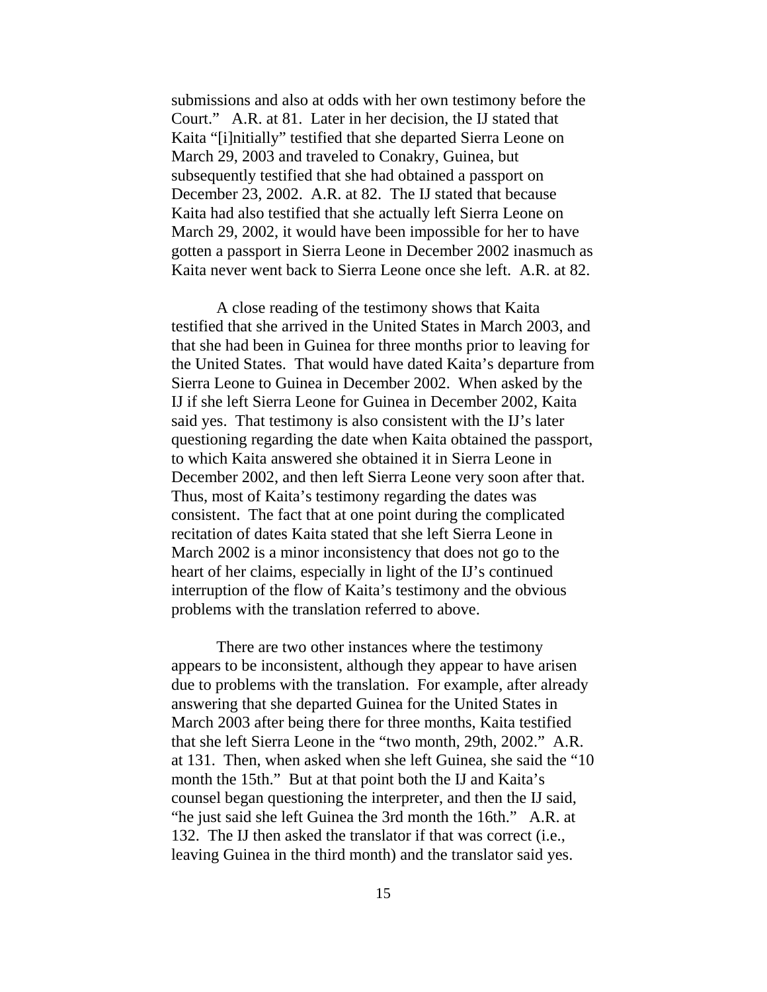submissions and also at odds with her own testimony before the Court." A.R. at 81. Later in her decision, the IJ stated that Kaita "[i]nitially" testified that she departed Sierra Leone on March 29, 2003 and traveled to Conakry, Guinea, but subsequently testified that she had obtained a passport on December 23, 2002. A.R. at 82. The IJ stated that because Kaita had also testified that she actually left Sierra Leone on March 29, 2002, it would have been impossible for her to have gotten a passport in Sierra Leone in December 2002 inasmuch as Kaita never went back to Sierra Leone once she left. A.R. at 82.

A close reading of the testimony shows that Kaita testified that she arrived in the United States in March 2003, and that she had been in Guinea for three months prior to leaving for the United States. That would have dated Kaita's departure from Sierra Leone to Guinea in December 2002. When asked by the IJ if she left Sierra Leone for Guinea in December 2002, Kaita said yes. That testimony is also consistent with the IJ's later questioning regarding the date when Kaita obtained the passport, to which Kaita answered she obtained it in Sierra Leone in December 2002, and then left Sierra Leone very soon after that. Thus, most of Kaita's testimony regarding the dates was consistent. The fact that at one point during the complicated recitation of dates Kaita stated that she left Sierra Leone in March 2002 is a minor inconsistency that does not go to the heart of her claims, especially in light of the IJ's continued interruption of the flow of Kaita's testimony and the obvious problems with the translation referred to above.

There are two other instances where the testimony appears to be inconsistent, although they appear to have arisen due to problems with the translation. For example, after already answering that she departed Guinea for the United States in March 2003 after being there for three months, Kaita testified that she left Sierra Leone in the "two month, 29th, 2002." A.R. at 131. Then, when asked when she left Guinea, she said the "10 month the 15th." But at that point both the IJ and Kaita's counsel began questioning the interpreter, and then the IJ said, "he just said she left Guinea the 3rd month the 16th." A.R. at 132. The IJ then asked the translator if that was correct (i.e., leaving Guinea in the third month) and the translator said yes.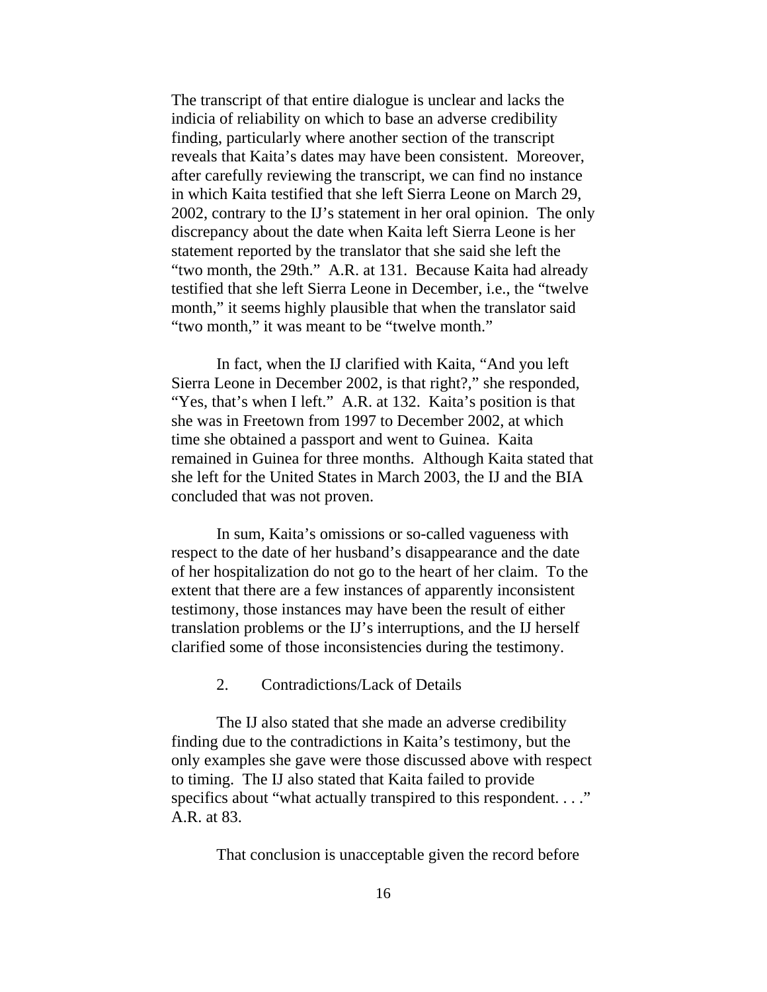The transcript of that entire dialogue is unclear and lacks the indicia of reliability on which to base an adverse credibility finding, particularly where another section of the transcript reveals that Kaita's dates may have been consistent. Moreover, after carefully reviewing the transcript, we can find no instance in which Kaita testified that she left Sierra Leone on March 29, 2002, contrary to the IJ's statement in her oral opinion. The only discrepancy about the date when Kaita left Sierra Leone is her statement reported by the translator that she said she left the "two month, the 29th." A.R. at 131. Because Kaita had already testified that she left Sierra Leone in December, i.e., the "twelve month," it seems highly plausible that when the translator said "two month," it was meant to be "twelve month."

In fact, when the IJ clarified with Kaita, "And you left Sierra Leone in December 2002, is that right?," she responded, "Yes, that's when I left." A.R. at 132. Kaita's position is that she was in Freetown from 1997 to December 2002, at which time she obtained a passport and went to Guinea. Kaita remained in Guinea for three months. Although Kaita stated that she left for the United States in March 2003, the IJ and the BIA concluded that was not proven.

In sum, Kaita's omissions or so-called vagueness with respect to the date of her husband's disappearance and the date of her hospitalization do not go to the heart of her claim. To the extent that there are a few instances of apparently inconsistent testimony, those instances may have been the result of either translation problems or the IJ's interruptions, and the IJ herself clarified some of those inconsistencies during the testimony.

2. Contradictions/Lack of Details

The IJ also stated that she made an adverse credibility finding due to the contradictions in Kaita's testimony, but the only examples she gave were those discussed above with respect to timing. The IJ also stated that Kaita failed to provide specifics about "what actually transpired to this respondent. . . ." A.R. at 83.

That conclusion is unacceptable given the record before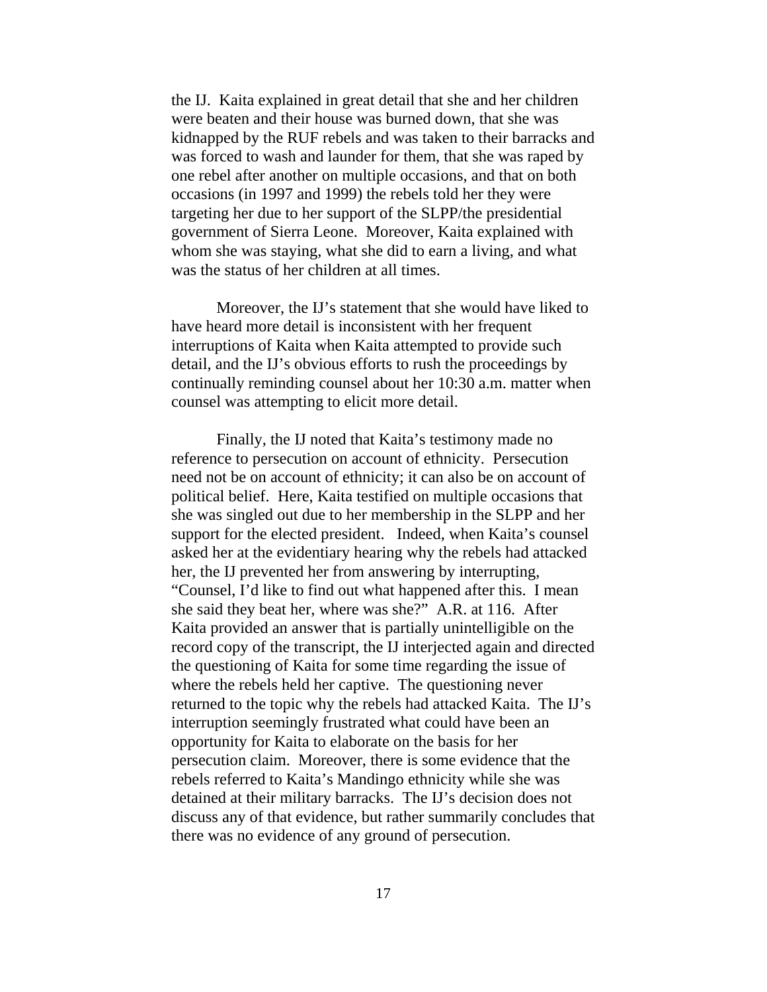the IJ. Kaita explained in great detail that she and her children were beaten and their house was burned down, that she was kidnapped by the RUF rebels and was taken to their barracks and was forced to wash and launder for them, that she was raped by one rebel after another on multiple occasions, and that on both occasions (in 1997 and 1999) the rebels told her they were targeting her due to her support of the SLPP/the presidential government of Sierra Leone. Moreover, Kaita explained with whom she was staying, what she did to earn a living, and what was the status of her children at all times.

Moreover, the IJ's statement that she would have liked to have heard more detail is inconsistent with her frequent interruptions of Kaita when Kaita attempted to provide such detail, and the IJ's obvious efforts to rush the proceedings by continually reminding counsel about her 10:30 a.m. matter when counsel was attempting to elicit more detail.

Finally, the IJ noted that Kaita's testimony made no reference to persecution on account of ethnicity. Persecution need not be on account of ethnicity; it can also be on account of political belief. Here, Kaita testified on multiple occasions that she was singled out due to her membership in the SLPP and her support for the elected president. Indeed, when Kaita's counsel asked her at the evidentiary hearing why the rebels had attacked her, the IJ prevented her from answering by interrupting, "Counsel, I'd like to find out what happened after this. I mean she said they beat her, where was she?" A.R. at 116. After Kaita provided an answer that is partially unintelligible on the record copy of the transcript, the IJ interjected again and directed the questioning of Kaita for some time regarding the issue of where the rebels held her captive. The questioning never returned to the topic why the rebels had attacked Kaita. The IJ's interruption seemingly frustrated what could have been an opportunity for Kaita to elaborate on the basis for her persecution claim. Moreover, there is some evidence that the rebels referred to Kaita's Mandingo ethnicity while she was detained at their military barracks. The IJ's decision does not discuss any of that evidence, but rather summarily concludes that there was no evidence of any ground of persecution.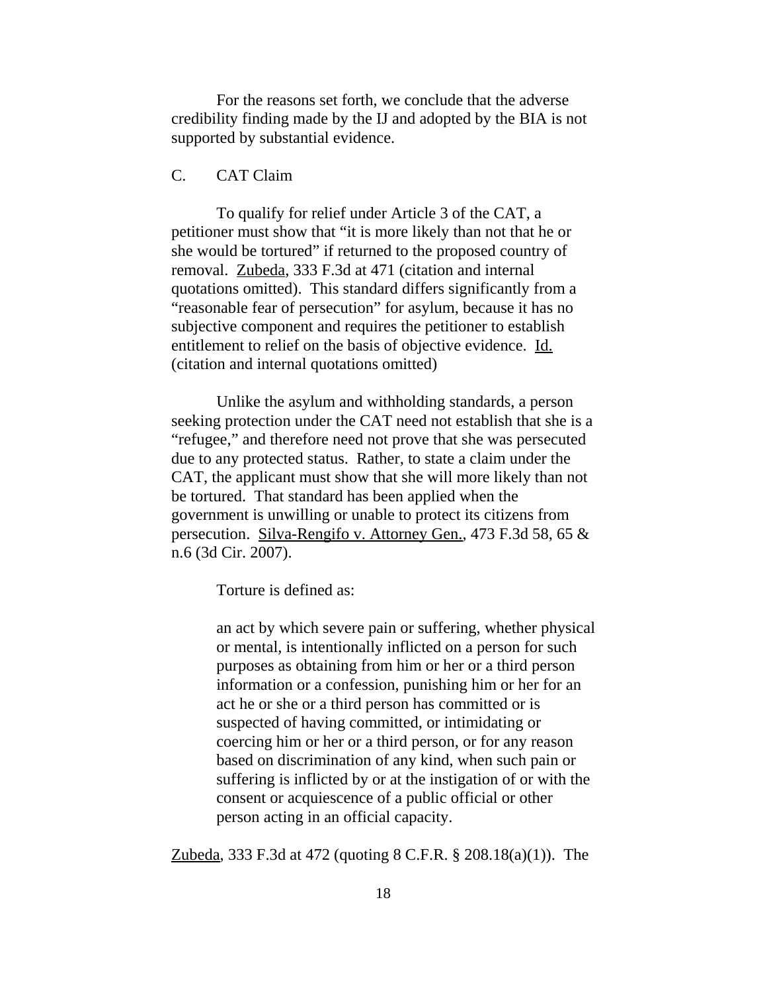For the reasons set forth, we conclude that the adverse credibility finding made by the IJ and adopted by the BIA is not supported by substantial evidence.

# C. CAT Claim

To qualify for relief under Article 3 of the CAT, a petitioner must show that "it is more likely than not that he or she would be tortured" if returned to the proposed country of removal. Zubeda, 333 F.3d at 471 (citation and internal quotations omitted). This standard differs significantly from a "reasonable fear of persecution" for asylum, because it has no subjective component and requires the petitioner to establish entitlement to relief on the basis of objective evidence. Id. (citation and internal quotations omitted)

Unlike the asylum and withholding standards, a person seeking protection under the CAT need not establish that she is a "refugee," and therefore need not prove that she was persecuted due to any protected status. Rather, to state a claim under the CAT, the applicant must show that she will more likely than not be tortured. That standard has been applied when the government is unwilling or unable to protect its citizens from persecution. Silva-Rengifo v. Attorney Gen., 473 F.3d 58, 65 & n.6 (3d Cir. 2007).

Torture is defined as:

an act by which severe pain or suffering, whether physical or mental, is intentionally inflicted on a person for such purposes as obtaining from him or her or a third person information or a confession, punishing him or her for an act he or she or a third person has committed or is suspected of having committed, or intimidating or coercing him or her or a third person, or for any reason based on discrimination of any kind, when such pain or suffering is inflicted by or at the instigation of or with the consent or acquiescence of a public official or other person acting in an official capacity.

Zubeda, 333 F.3d at 472 (quoting 8 C.F.R. § 208.18(a)(1)). The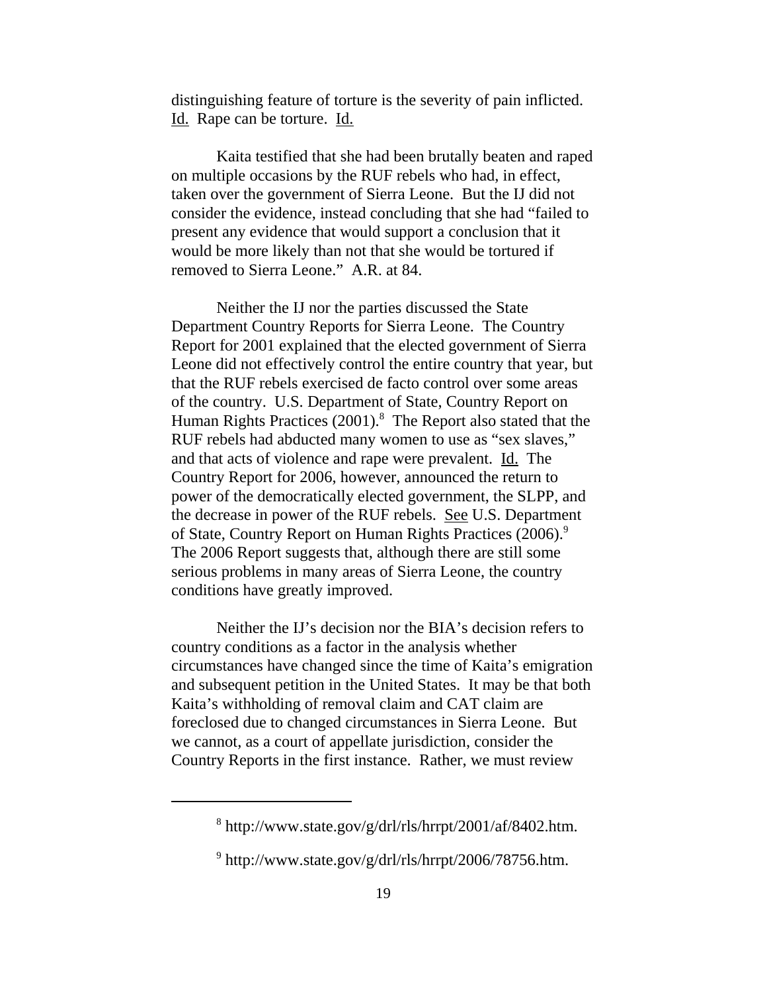distinguishing feature of torture is the severity of pain inflicted. Id. Rape can be torture. Id.

Kaita testified that she had been brutally beaten and raped on multiple occasions by the RUF rebels who had, in effect, taken over the government of Sierra Leone. But the IJ did not consider the evidence, instead concluding that she had "failed to present any evidence that would support a conclusion that it would be more likely than not that she would be tortured if removed to Sierra Leone." A.R. at 84.

Neither the IJ nor the parties discussed the State Department Country Reports for Sierra Leone. The Country Report for 2001 explained that the elected government of Sierra Leone did not effectively control the entire country that year, but that the RUF rebels exercised de facto control over some areas of the country. U.S. Department of State, Country Report on Human Rights Practices (2001).<sup>8</sup> The Report also stated that the RUF rebels had abducted many women to use as "sex slaves," and that acts of violence and rape were prevalent. Id. The Country Report for 2006, however, announced the return to power of the democratically elected government, the SLPP, and the decrease in power of the RUF rebels. See U.S. Department of State, Country Report on Human Rights Practices (2006).<sup>9</sup> The 2006 Report suggests that, although there are still some serious problems in many areas of Sierra Leone, the country conditions have greatly improved.

Neither the IJ's decision nor the BIA's decision refers to country conditions as a factor in the analysis whether circumstances have changed since the time of Kaita's emigration and subsequent petition in the United States. It may be that both Kaita's withholding of removal claim and CAT claim are foreclosed due to changed circumstances in Sierra Leone. But we cannot, as a court of appellate jurisdiction, consider the Country Reports in the first instance. Rather, we must review

 $8 \text{ http://www.state.gov/g/dr/rls/hrrpt/2001/af/8402.htm.}$ 

 $9$  http://www.state.gov/g/drl/rls/hrrpt/2006/78756.htm.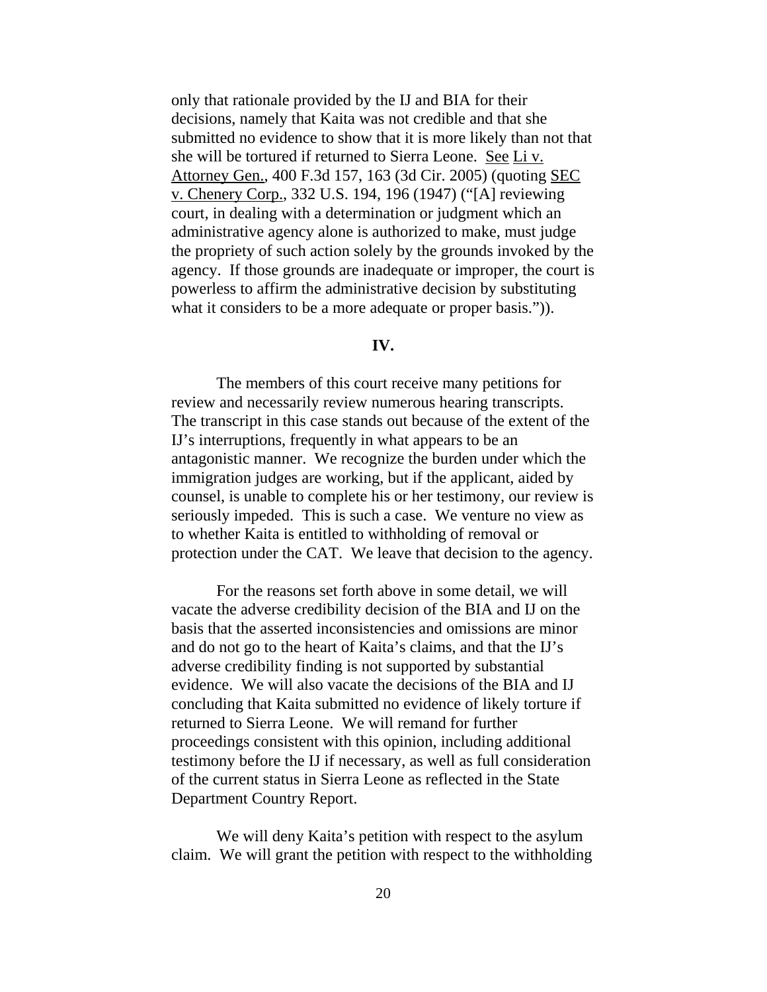only that rationale provided by the IJ and BIA for their decisions, namely that Kaita was not credible and that she submitted no evidence to show that it is more likely than not that she will be tortured if returned to Sierra Leone. See Li v. Attorney Gen., 400 F.3d 157, 163 (3d Cir. 2005) (quoting SEC v. Chenery Corp., 332 U.S. 194, 196 (1947) ("[A] reviewing court, in dealing with a determination or judgment which an administrative agency alone is authorized to make, must judge the propriety of such action solely by the grounds invoked by the agency. If those grounds are inadequate or improper, the court is powerless to affirm the administrative decision by substituting what it considers to be a more adequate or proper basis.")).

## **IV.**

The members of this court receive many petitions for review and necessarily review numerous hearing transcripts. The transcript in this case stands out because of the extent of the IJ's interruptions, frequently in what appears to be an antagonistic manner. We recognize the burden under which the immigration judges are working, but if the applicant, aided by counsel, is unable to complete his or her testimony, our review is seriously impeded. This is such a case. We venture no view as to whether Kaita is entitled to withholding of removal or protection under the CAT. We leave that decision to the agency.

For the reasons set forth above in some detail, we will vacate the adverse credibility decision of the BIA and IJ on the basis that the asserted inconsistencies and omissions are minor and do not go to the heart of Kaita's claims, and that the IJ's adverse credibility finding is not supported by substantial evidence. We will also vacate the decisions of the BIA and IJ concluding that Kaita submitted no evidence of likely torture if returned to Sierra Leone. We will remand for further proceedings consistent with this opinion, including additional testimony before the IJ if necessary, as well as full consideration of the current status in Sierra Leone as reflected in the State Department Country Report.

We will deny Kaita's petition with respect to the asylum claim. We will grant the petition with respect to the withholding